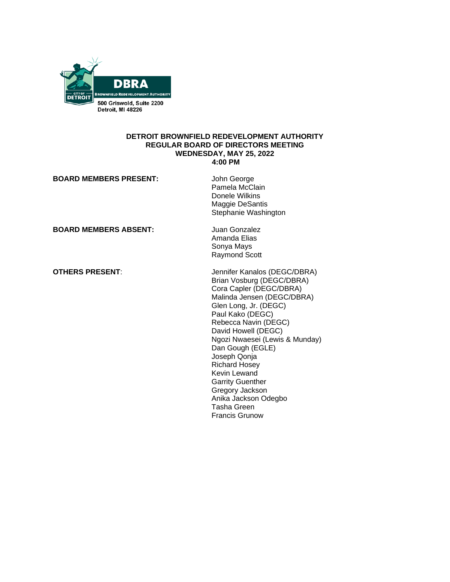

#### **DETROIT BROWNFIELD REDEVELOPMENT AUTHORITY REGULAR BOARD OF DIRECTORS MEETING WEDNESDAY, MAY 25, 2022 4:00 PM**

| <b>BOARD MEMBERS PRESENT:</b> | John George<br>Pamela McClain<br>Donele Wilkins<br>Maggie DeSantis<br>Stephanie Washington                                                                                                                                                                                                                                                                                                                                                 |
|-------------------------------|--------------------------------------------------------------------------------------------------------------------------------------------------------------------------------------------------------------------------------------------------------------------------------------------------------------------------------------------------------------------------------------------------------------------------------------------|
| <b>BOARD MEMBERS ABSENT:</b>  | Juan Gonzalez<br>Amanda Elias<br>Sonya Mays<br><b>Raymond Scott</b>                                                                                                                                                                                                                                                                                                                                                                        |
| <b>OTHERS PRESENT:</b>        | Jennifer Kanalos (DEGC/DBRA)<br>Brian Vosburg (DEGC/DBRA)<br>Cora Capler (DEGC/DBRA)<br>Malinda Jensen (DEGC/DBRA)<br>Glen Long, Jr. (DEGC)<br>Paul Kako (DEGC)<br>Rebecca Navin (DEGC)<br>David Howell (DEGC)<br>Ngozi Nwaesei (Lewis & Munday)<br>Dan Gough (EGLE)<br>Joseph Qonja<br><b>Richard Hosey</b><br>Kevin Lewand<br><b>Garrity Guenther</b><br>Gregory Jackson<br>Anika Jackson Odegbo<br>Tasha Green<br><b>Francis Grunow</b> |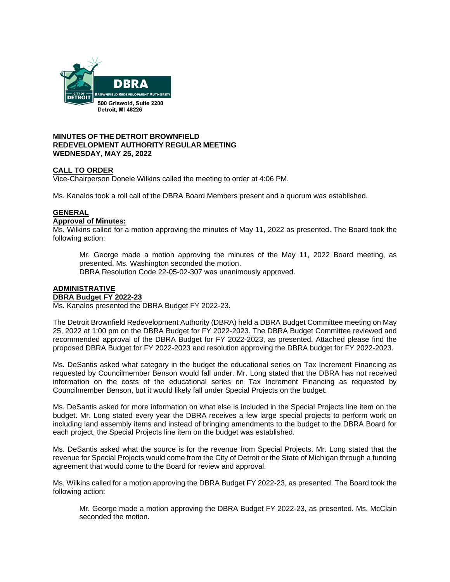

#### **MINUTES OF THE DETROIT BROWNFIELD REDEVELOPMENT AUTHORITY REGULAR MEETING WEDNESDAY, MAY 25, 2022**

### **CALL TO ORDER**

Vice-Chairperson Donele Wilkins called the meeting to order at 4:06 PM.

Ms. Kanalos took a roll call of the DBRA Board Members present and a quorum was established.

# **GENERAL**

#### **Approval of Minutes:**

Ms. Wilkins called for a motion approving the minutes of May 11, 2022 as presented. The Board took the following action:

Mr. George made a motion approving the minutes of the May 11, 2022 Board meeting, as presented. Ms. Washington seconded the motion.

DBRA Resolution Code 22-05-02-307 was unanimously approved.

#### **ADMINISTRATIVE DBRA Budget FY 2022-23**

Ms. Kanalos presented the DBRA Budget FY 2022-23.

The Detroit Brownfield Redevelopment Authority (DBRA) held a DBRA Budget Committee meeting on May 25, 2022 at 1:00 pm on the DBRA Budget for FY 2022-2023. The DBRA Budget Committee reviewed and recommended approval of the DBRA Budget for FY 2022-2023, as presented. Attached please find the proposed DBRA Budget for FY 2022-2023 and resolution approving the DBRA budget for FY 2022-2023.

Ms. DeSantis asked what category in the budget the educational series on Tax Increment Financing as requested by Councilmember Benson would fall under. Mr. Long stated that the DBRA has not received information on the costs of the educational series on Tax Increment Financing as requested by Councilmember Benson, but it would likely fall under Special Projects on the budget.

Ms. DeSantis asked for more information on what else is included in the Special Projects line item on the budget. Mr. Long stated every year the DBRA receives a few large special projects to perform work on including land assembly items and instead of bringing amendments to the budget to the DBRA Board for each project, the Special Projects line item on the budget was established.

Ms. DeSantis asked what the source is for the revenue from Special Projects. Mr. Long stated that the revenue for Special Projects would come from the City of Detroit or the State of Michigan through a funding agreement that would come to the Board for review and approval.

Ms. Wilkins called for a motion approving the DBRA Budget FY 2022-23, as presented. The Board took the following action:

Mr. George made a motion approving the DBRA Budget FY 2022-23, as presented. Ms. McClain seconded the motion.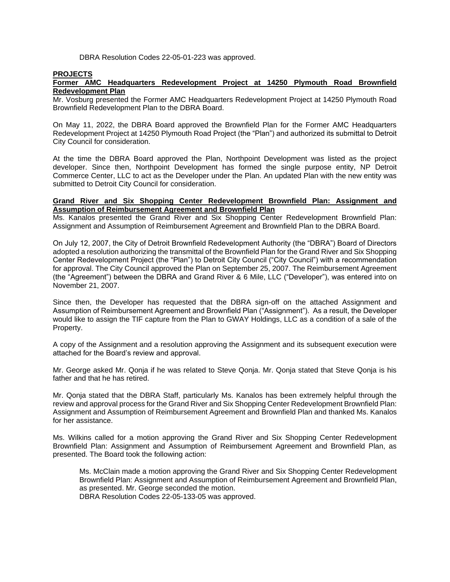DBRA Resolution Codes 22-05-01-223 was approved.

#### **PROJECTS**

#### **Former AMC Headquarters Redevelopment Project at 14250 Plymouth Road Brownfield Redevelopment Plan**

Mr. Vosburg presented the Former AMC Headquarters Redevelopment Project at 14250 Plymouth Road Brownfield Redevelopment Plan to the DBRA Board.

On May 11, 2022, the DBRA Board approved the Brownfield Plan for the Former AMC Headquarters Redevelopment Project at 14250 Plymouth Road Project (the "Plan") and authorized its submittal to Detroit City Council for consideration.

At the time the DBRA Board approved the Plan, Northpoint Development was listed as the project developer. Since then, Northpoint Development has formed the single purpose entity, NP Detroit Commerce Center, LLC to act as the Developer under the Plan. An updated Plan with the new entity was submitted to Detroit City Council for consideration.

#### **Grand River and Six Shopping Center Redevelopment Brownfield Plan: Assignment and Assumption of Reimbursement Agreement and Brownfield Plan**

Ms. Kanalos presented the Grand River and Six Shopping Center Redevelopment Brownfield Plan: Assignment and Assumption of Reimbursement Agreement and Brownfield Plan to the DBRA Board.

On July 12, 2007, the City of Detroit Brownfield Redevelopment Authority (the "DBRA") Board of Directors adopted a resolution authorizing the transmittal of the Brownfield Plan for the Grand River and Six Shopping Center Redevelopment Project (the "Plan") to Detroit City Council ("City Council") with a recommendation for approval. The City Council approved the Plan on September 25, 2007. The Reimbursement Agreement (the "Agreement") between the DBRA and Grand River & 6 Mile, LLC ("Developer"), was entered into on November 21, 2007.

Since then, the Developer has requested that the DBRA sign-off on the attached Assignment and Assumption of Reimbursement Agreement and Brownfield Plan ("Assignment"). As a result, the Developer would like to assign the TIF capture from the Plan to GWAY Holdings, LLC as a condition of a sale of the Property.

A copy of the Assignment and a resolution approving the Assignment and its subsequent execution were attached for the Board's review and approval.

Mr. George asked Mr. Qonja if he was related to Steve Qonja. Mr. Qonja stated that Steve Qonja is his father and that he has retired.

Mr. Qonja stated that the DBRA Staff, particularly Ms. Kanalos has been extremely helpful through the review and approval process for the Grand River and Six Shopping Center Redevelopment Brownfield Plan: Assignment and Assumption of Reimbursement Agreement and Brownfield Plan and thanked Ms. Kanalos for her assistance.

Ms. Wilkins called for a motion approving the Grand River and Six Shopping Center Redevelopment Brownfield Plan: Assignment and Assumption of Reimbursement Agreement and Brownfield Plan, as presented. The Board took the following action:

Ms. McClain made a motion approving the Grand River and Six Shopping Center Redevelopment Brownfield Plan: Assignment and Assumption of Reimbursement Agreement and Brownfield Plan, as presented. Mr. George seconded the motion. DBRA Resolution Codes 22-05-133-05 was approved.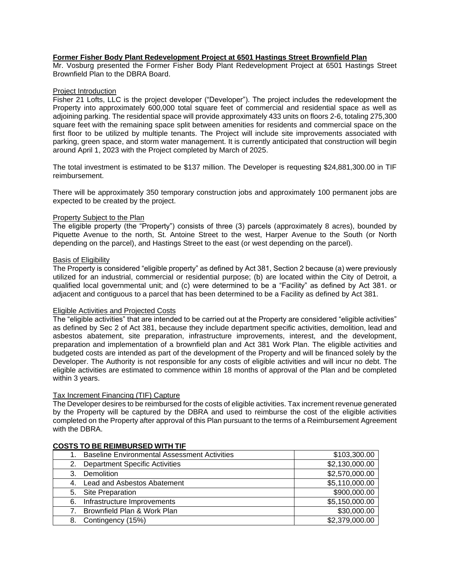#### **Former Fisher Body Plant Redevelopment Project at 6501 Hastings Street Brownfield Plan**

Mr. Vosburg presented the Former Fisher Body Plant Redevelopment Project at 6501 Hastings Street Brownfield Plan to the DBRA Board.

#### Project Introduction

Fisher 21 Lofts, LLC is the project developer ("Developer"). The project includes the redevelopment the Property into approximately 600,000 total square feet of commercial and residential space as well as adjoining parking. The residential space will provide approximately 433 units on floors 2-6, totaling 275,300 square feet with the remaining space split between amenities for residents and commercial space on the first floor to be utilized by multiple tenants. The Project will include site improvements associated with parking, green space, and storm water management. It is currently anticipated that construction will begin around April 1, 2023 with the Project completed by March of 2025.

The total investment is estimated to be \$137 million. The Developer is requesting \$24,881,300.00 in TIF reimbursement.

There will be approximately 350 temporary construction jobs and approximately 100 permanent jobs are expected to be created by the project.

#### Property Subject to the Plan

The eligible property (the "Property") consists of three (3) parcels (approximately 8 acres), bounded by Piquette Avenue to the north, St. Antoine Street to the west, Harper Avenue to the South (or North depending on the parcel), and Hastings Street to the east (or west depending on the parcel).

#### Basis of Eligibility

The Property is considered "eligible property" as defined by Act 381, Section 2 because (a) were previously utilized for an industrial, commercial or residential purpose; (b) are located within the City of Detroit, a qualified local governmental unit; and (c) were determined to be a "Facility" as defined by Act 381. or adjacent and contiguous to a parcel that has been determined to be a Facility as defined by Act 381.

#### Eligible Activities and Projected Costs

The "eligible activities" that are intended to be carried out at the Property are considered "eligible activities" as defined by Sec 2 of Act 381, because they include department specific activities, demolition, lead and asbestos abatement, site preparation, infrastructure improvements, interest, and the development, preparation and implementation of a brownfield plan and Act 381 Work Plan. The eligible activities and budgeted costs are intended as part of the development of the Property and will be financed solely by the Developer. The Authority is not responsible for any costs of eligible activities and will incur no debt. The eligible activities are estimated to commence within 18 months of approval of the Plan and be completed within 3 years.

#### Tax Increment Financing (TIF) Capture

The Developer desires to be reimbursed for the costs of eligible activities. Tax increment revenue generated by the Property will be captured by the DBRA and used to reimburse the cost of the eligible activities completed on the Property after approval of this Plan pursuant to the terms of a Reimbursement Agreement with the DBRA.

|    | <b>Baseline Environmental Assessment Activities</b> | \$103,300.00   |
|----|-----------------------------------------------------|----------------|
| 2. | <b>Department Specific Activities</b>               | \$2,130,000.00 |
| 3. | Demolition                                          | \$2,570,000.00 |
| 4. | Lead and Asbestos Abatement                         | \$5,110,000.00 |
| 5. | Site Preparation                                    | \$900,000.00   |
| 6. | Infrastructure Improvements                         | \$5,150,000.00 |
|    | Brownfield Plan & Work Plan                         | \$30,000.00    |
| 8. | Contingency (15%)                                   | \$2,379,000.00 |

#### **COSTS TO BE REIMBURSED WITH TIF**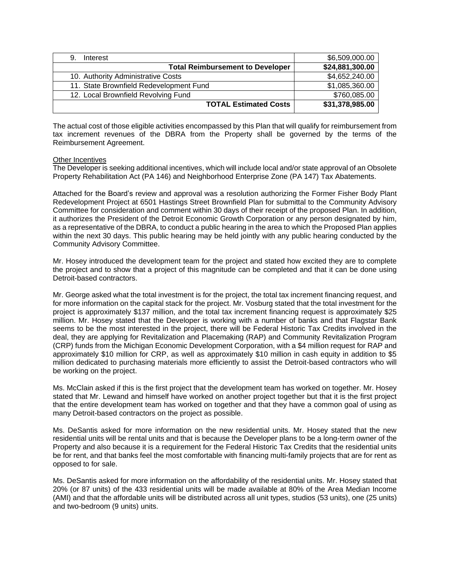| Interest<br>9.                          | \$6,509,000.00  |
|-----------------------------------------|-----------------|
| <b>Total Reimbursement to Developer</b> | \$24,881,300.00 |
| 10. Authority Administrative Costs      | \$4,652,240.00  |
| 11. State Brownfield Redevelopment Fund | \$1,085,360.00  |
| 12. Local Brownfield Revolving Fund     | \$760,085.00    |
| <b>TOTAL Estimated Costs</b>            | \$31,378,985.00 |

The actual cost of those eligible activities encompassed by this Plan that will qualify for reimbursement from tax increment revenues of the DBRA from the Property shall be governed by the terms of the Reimbursement Agreement.

#### Other Incentives

The Developer is seeking additional incentives, which will include local and/or state approval of an Obsolete Property Rehabilitation Act (PA 146) and Neighborhood Enterprise Zone (PA 147) Tax Abatements.

Attached for the Board's review and approval was a resolution authorizing the Former Fisher Body Plant Redevelopment Project at 6501 Hastings Street Brownfield Plan for submittal to the Community Advisory Committee for consideration and comment within 30 days of their receipt of the proposed Plan. In addition, it authorizes the President of the Detroit Economic Growth Corporation or any person designated by him, as a representative of the DBRA, to conduct a public hearing in the area to which the Proposed Plan applies within the next 30 days. This public hearing may be held jointly with any public hearing conducted by the Community Advisory Committee.

Mr. Hosey introduced the development team for the project and stated how excited they are to complete the project and to show that a project of this magnitude can be completed and that it can be done using Detroit-based contractors.

Mr. George asked what the total investment is for the project, the total tax increment financing request, and for more information on the capital stack for the project. Mr. Vosburg stated that the total investment for the project is approximately \$137 million, and the total tax increment financing request is approximately \$25 million. Mr. Hosey stated that the Developer is working with a number of banks and that Flagstar Bank seems to be the most interested in the project, there will be Federal Historic Tax Credits involved in the deal, they are applying for Revitalization and Placemaking (RAP) and Community Revitalization Program (CRP) funds from the Michigan Economic Development Corporation, with a \$4 million request for RAP and approximately \$10 million for CRP, as well as approximately \$10 million in cash equity in addition to \$5 million dedicated to purchasing materials more efficiently to assist the Detroit-based contractors who will be working on the project.

Ms. McClain asked if this is the first project that the development team has worked on together. Mr. Hosey stated that Mr. Lewand and himself have worked on another project together but that it is the first project that the entire development team has worked on together and that they have a common goal of using as many Detroit-based contractors on the project as possible.

Ms. DeSantis asked for more information on the new residential units. Mr. Hosey stated that the new residential units will be rental units and that is because the Developer plans to be a long-term owner of the Property and also because it is a requirement for the Federal Historic Tax Credits that the residential units be for rent, and that banks feel the most comfortable with financing multi-family projects that are for rent as opposed to for sale.

Ms. DeSantis asked for more information on the affordability of the residential units. Mr. Hosey stated that 20% (or 87 units) of the 433 residential units will be made available at 80% of the Area Median Income (AMI) and that the affordable units will be distributed across all unit types, studios (53 units), one (25 units) and two-bedroom (9 units) units.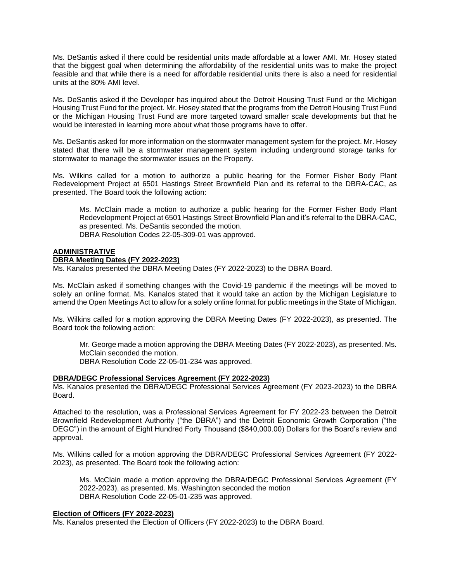Ms. DeSantis asked if there could be residential units made affordable at a lower AMI. Mr. Hosey stated that the biggest goal when determining the affordability of the residential units was to make the project feasible and that while there is a need for affordable residential units there is also a need for residential units at the 80% AMI level.

Ms. DeSantis asked if the Developer has inquired about the Detroit Housing Trust Fund or the Michigan Housing Trust Fund for the project. Mr. Hosey stated that the programs from the Detroit Housing Trust Fund or the Michigan Housing Trust Fund are more targeted toward smaller scale developments but that he would be interested in learning more about what those programs have to offer.

Ms. DeSantis asked for more information on the stormwater management system for the project. Mr. Hosey stated that there will be a stormwater management system including underground storage tanks for stormwater to manage the stormwater issues on the Property.

Ms. Wilkins called for a motion to authorize a public hearing for the Former Fisher Body Plant Redevelopment Project at 6501 Hastings Street Brownfield Plan and its referral to the DBRA-CAC, as presented. The Board took the following action:

Ms. McClain made a motion to authorize a public hearing for the Former Fisher Body Plant Redevelopment Project at 6501 Hastings Street Brownfield Plan and it's referral to the DBRA-CAC, as presented. Ms. DeSantis seconded the motion. DBRA Resolution Codes 22-05-309-01 was approved.

#### **ADMINISTRATIVE**

#### **DBRA Meeting Dates (FY 2022-2023)**

Ms. Kanalos presented the DBRA Meeting Dates (FY 2022-2023) to the DBRA Board.

Ms. McClain asked if something changes with the Covid-19 pandemic if the meetings will be moved to solely an online format. Ms. Kanalos stated that it would take an action by the Michigan Legislature to amend the Open Meetings Act to allow for a solely online format for public meetings in the State of Michigan.

Ms. Wilkins called for a motion approving the DBRA Meeting Dates (FY 2022-2023), as presented. The Board took the following action:

Mr. George made a motion approving the DBRA Meeting Dates (FY 2022-2023), as presented. Ms. McClain seconded the motion. DBRA Resolution Code 22-05-01-234 was approved.

#### **DBRA/DEGC Professional Services Agreement (FY 2022-2023)**

Ms. Kanalos presented the DBRA/DEGC Professional Services Agreement (FY 2023-2023) to the DBRA Board.

Attached to the resolution, was a Professional Services Agreement for FY 2022-23 between the Detroit Brownfield Redevelopment Authority ("the DBRA") and the Detroit Economic Growth Corporation ("the DEGC") in the amount of Eight Hundred Forty Thousand (\$840,000.00) Dollars for the Board's review and approval.

Ms. Wilkins called for a motion approving the DBRA/DEGC Professional Services Agreement (FY 2022- 2023), as presented. The Board took the following action:

Ms. McClain made a motion approving the DBRA/DEGC Professional Services Agreement (FY 2022-2023), as presented. Ms. Washington seconded the motion DBRA Resolution Code 22-05-01-235 was approved.

#### **Election of Officers (FY 2022-2023)**

Ms. Kanalos presented the Election of Officers (FY 2022-2023) to the DBRA Board.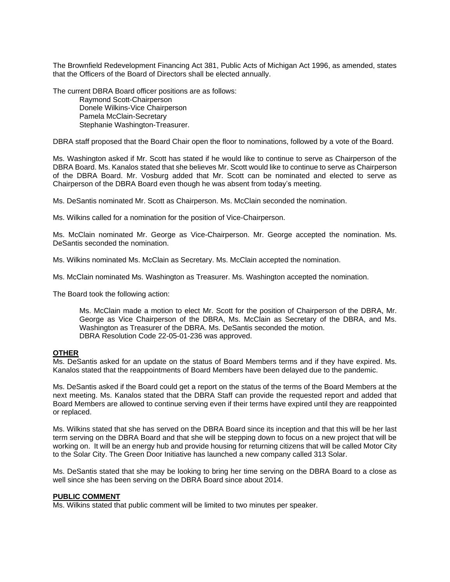The Brownfield Redevelopment Financing Act 381, Public Acts of Michigan Act 1996, as amended, states that the Officers of the Board of Directors shall be elected annually.

The current DBRA Board officer positions are as follows:

Raymond Scott-Chairperson Donele Wilkins-Vice Chairperson Pamela McClain-Secretary Stephanie Washington-Treasurer.

DBRA staff proposed that the Board Chair open the floor to nominations, followed by a vote of the Board.

Ms. Washington asked if Mr. Scott has stated if he would like to continue to serve as Chairperson of the DBRA Board. Ms. Kanalos stated that she believes Mr. Scott would like to continue to serve as Chairperson of the DBRA Board. Mr. Vosburg added that Mr. Scott can be nominated and elected to serve as Chairperson of the DBRA Board even though he was absent from today's meeting.

Ms. DeSantis nominated Mr. Scott as Chairperson. Ms. McClain seconded the nomination.

Ms. Wilkins called for a nomination for the position of Vice-Chairperson.

Ms. McClain nominated Mr. George as Vice-Chairperson. Mr. George accepted the nomination. Ms. DeSantis seconded the nomination.

Ms. Wilkins nominated Ms. McClain as Secretary. Ms. McClain accepted the nomination.

Ms. McClain nominated Ms. Washington as Treasurer. Ms. Washington accepted the nomination.

The Board took the following action:

Ms. McClain made a motion to elect Mr. Scott for the position of Chairperson of the DBRA, Mr. George as Vice Chairperson of the DBRA, Ms. McClain as Secretary of the DBRA, and Ms. Washington as Treasurer of the DBRA. Ms. DeSantis seconded the motion. DBRA Resolution Code 22-05-01-236 was approved.

#### **OTHER**

Ms. DeSantis asked for an update on the status of Board Members terms and if they have expired. Ms. Kanalos stated that the reappointments of Board Members have been delayed due to the pandemic.

Ms. DeSantis asked if the Board could get a report on the status of the terms of the Board Members at the next meeting. Ms. Kanalos stated that the DBRA Staff can provide the requested report and added that Board Members are allowed to continue serving even if their terms have expired until they are reappointed or replaced.

Ms. Wilkins stated that she has served on the DBRA Board since its inception and that this will be her last term serving on the DBRA Board and that she will be stepping down to focus on a new project that will be working on. It will be an energy hub and provide housing for returning citizens that will be called Motor City to the Solar City. The Green Door Initiative has launched a new company called 313 Solar.

Ms. DeSantis stated that she may be looking to bring her time serving on the DBRA Board to a close as well since she has been serving on the DBRA Board since about 2014.

#### **PUBLIC COMMENT**

Ms. Wilkins stated that public comment will be limited to two minutes per speaker.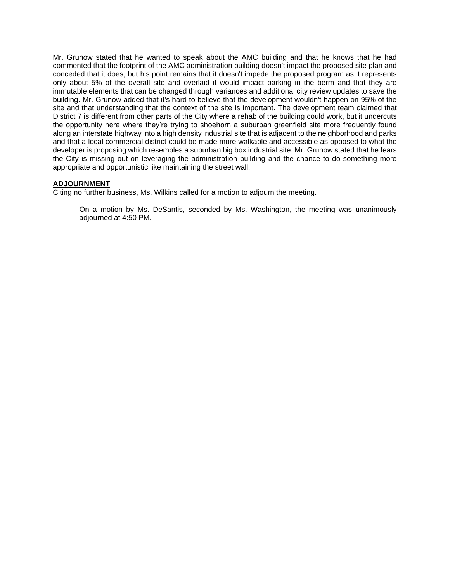Mr. Grunow stated that he wanted to speak about the AMC building and that he knows that he had commented that the footprint of the AMC administration building doesn't impact the proposed site plan and conceded that it does, but his point remains that it doesn't impede the proposed program as it represents only about 5% of the overall site and overlaid it would impact parking in the berm and that they are immutable elements that can be changed through variances and additional city review updates to save the building. Mr. Grunow added that it's hard to believe that the development wouldn't happen on 95% of the site and that understanding that the context of the site is important. The development team claimed that District 7 is different from other parts of the City where a rehab of the building could work, but it undercuts the opportunity here where they're trying to shoehorn a suburban greenfield site more frequently found along an interstate highway into a high density industrial site that is adjacent to the neighborhood and parks and that a local commercial district could be made more walkable and accessible as opposed to what the developer is proposing which resembles a suburban big box industrial site. Mr. Grunow stated that he fears the City is missing out on leveraging the administration building and the chance to do something more appropriate and opportunistic like maintaining the street wall.

#### **ADJOURNMENT**

Citing no further business, Ms. Wilkins called for a motion to adjourn the meeting.

On a motion by Ms. DeSantis, seconded by Ms. Washington, the meeting was unanimously adjourned at 4:50 PM.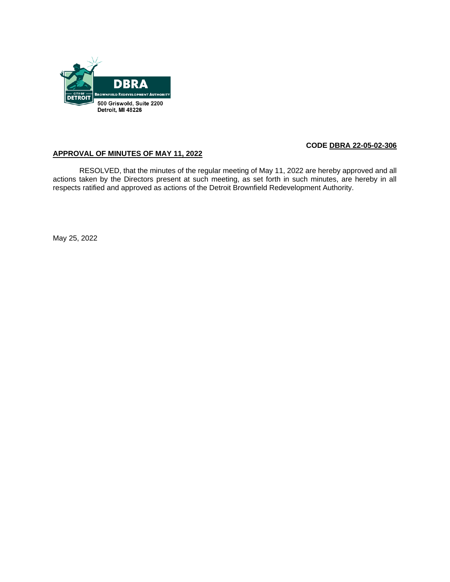

# **APPROVAL OF MINUTES OF MAY 11, 2022**

RESOLVED, that the minutes of the regular meeting of May 11, 2022 are hereby approved and all actions taken by the Directors present at such meeting, as set forth in such minutes, are hereby in all respects ratified and approved as actions of the Detroit Brownfield Redevelopment Authority.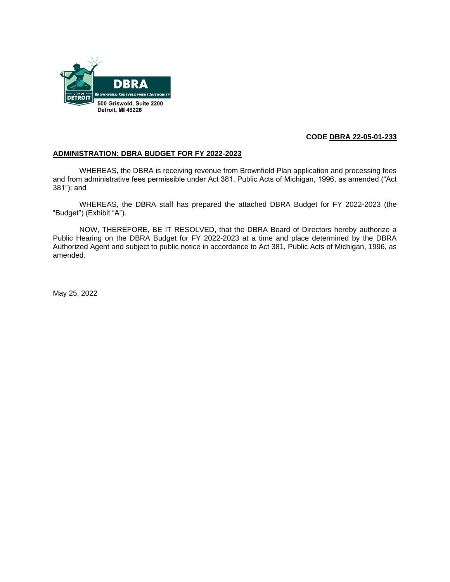

### **ADMINISTRATION: DBRA BUDGET FOR FY 2022-2023**

WHEREAS, the DBRA is receiving revenue from Brownfield Plan application and processing fees and from administrative fees permissible under Act 381, Public Acts of Michigan, 1996, as amended ("Act 381"); and

WHEREAS, the DBRA staff has prepared the attached DBRA Budget for FY 2022-2023 (the "Budget") (Exhibit "A").

NOW, THEREFORE, BE IT RESOLVED, that the DBRA Board of Directors hereby authorize a Public Hearing on the DBRA Budget for FY 2022-2023 at a time and place determined by the DBRA Authorized Agent and subject to public notice in accordance to Act 381, Public Acts of Michigan, 1996, as amended.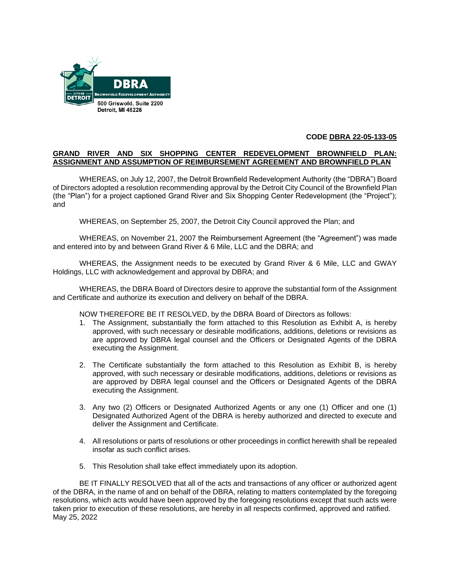

#### **GRAND RIVER AND SIX SHOPPING CENTER REDEVELOPMENT BROWNFIELD PLAN: ASSIGNMENT AND ASSUMPTION OF REIMBURSEMENT AGREEMENT AND BROWNFIELD PLAN**

WHEREAS, on July 12, 2007, the Detroit Brownfield Redevelopment Authority (the "DBRA") Board of Directors adopted a resolution recommending approval by the Detroit City Council of the Brownfield Plan (the "Plan") for a project captioned Grand River and Six Shopping Center Redevelopment (the "Project"); and

WHEREAS, on September 25, 2007, the Detroit City Council approved the Plan; and

WHEREAS, on November 21, 2007 the Reimbursement Agreement (the "Agreement") was made and entered into by and between Grand River & 6 Mile, LLC and the DBRA; and

WHEREAS, the Assignment needs to be executed by Grand River & 6 Mile, LLC and GWAY Holdings, LLC with acknowledgement and approval by DBRA; and

WHEREAS, the DBRA Board of Directors desire to approve the substantial form of the Assignment and Certificate and authorize its execution and delivery on behalf of the DBRA.

NOW THEREFORE BE IT RESOLVED, by the DBRA Board of Directors as follows:

- 1. The Assignment, substantially the form attached to this Resolution as Exhibit A, is hereby approved, with such necessary or desirable modifications, additions, deletions or revisions as are approved by DBRA legal counsel and the Officers or Designated Agents of the DBRA executing the Assignment.
- 2. The Certificate substantially the form attached to this Resolution as Exhibit B, is hereby approved, with such necessary or desirable modifications, additions, deletions or revisions as are approved by DBRA legal counsel and the Officers or Designated Agents of the DBRA executing the Assignment.
- 3. Any two (2) Officers or Designated Authorized Agents or any one (1) Officer and one (1) Designated Authorized Agent of the DBRA is hereby authorized and directed to execute and deliver the Assignment and Certificate.
- 4. All resolutions or parts of resolutions or other proceedings in conflict herewith shall be repealed insofar as such conflict arises.
- 5. This Resolution shall take effect immediately upon its adoption.

BE IT FINALLY RESOLVED that all of the acts and transactions of any officer or authorized agent of the DBRA, in the name of and on behalf of the DBRA, relating to matters contemplated by the foregoing resolutions, which acts would have been approved by the foregoing resolutions except that such acts were taken prior to execution of these resolutions, are hereby in all respects confirmed, approved and ratified. May 25, 2022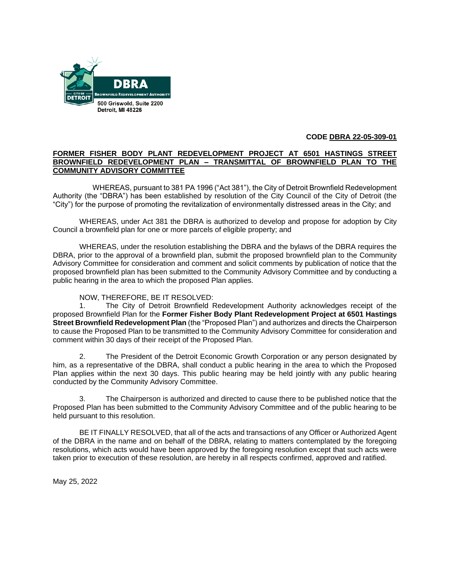

#### **FORMER FISHER BODY PLANT REDEVELOPMENT PROJECT AT 6501 HASTINGS STREET BROWNFIELD REDEVELOPMENT PLAN – TRANSMITTAL OF BROWNFIELD PLAN TO THE COMMUNITY ADVISORY COMMITTEE**

WHEREAS, pursuant to 381 PA 1996 ("Act 381"), the City of Detroit Brownfield Redevelopment Authority (the "DBRA") has been established by resolution of the City Council of the City of Detroit (the "City") for the purpose of promoting the revitalization of environmentally distressed areas in the City; and

WHEREAS, under Act 381 the DBRA is authorized to develop and propose for adoption by City Council a brownfield plan for one or more parcels of eligible property; and

WHEREAS, under the resolution establishing the DBRA and the bylaws of the DBRA requires the DBRA, prior to the approval of a brownfield plan, submit the proposed brownfield plan to the Community Advisory Committee for consideration and comment and solicit comments by publication of notice that the proposed brownfield plan has been submitted to the Community Advisory Committee and by conducting a public hearing in the area to which the proposed Plan applies.

# NOW, THEREFORE, BE IT RESOLVED:

1. The City of Detroit Brownfield Redevelopment Authority acknowledges receipt of the proposed Brownfield Plan for the **Former Fisher Body Plant Redevelopment Project at 6501 Hastings Street Brownfield Redevelopment Plan** (the "Proposed Plan") and authorizes and directs the Chairperson to cause the Proposed Plan to be transmitted to the Community Advisory Committee for consideration and comment within 30 days of their receipt of the Proposed Plan.

2. The President of the Detroit Economic Growth Corporation or any person designated by him, as a representative of the DBRA, shall conduct a public hearing in the area to which the Proposed Plan applies within the next 30 days. This public hearing may be held jointly with any public hearing conducted by the Community Advisory Committee.

3. The Chairperson is authorized and directed to cause there to be published notice that the Proposed Plan has been submitted to the Community Advisory Committee and of the public hearing to be held pursuant to this resolution.

BE IT FINALLY RESOLVED, that all of the acts and transactions of any Officer or Authorized Agent of the DBRA in the name and on behalf of the DBRA, relating to matters contemplated by the foregoing resolutions, which acts would have been approved by the foregoing resolution except that such acts were taken prior to execution of these resolution, are hereby in all respects confirmed, approved and ratified.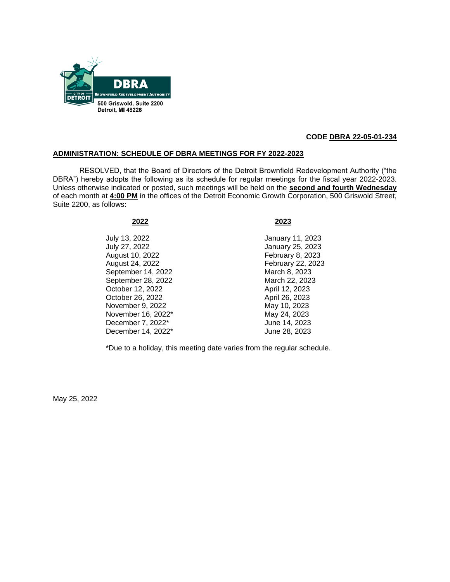

### **ADMINISTRATION: SCHEDULE OF DBRA MEETINGS FOR FY 2022-2023**

RESOLVED, that the Board of Directors of the Detroit Brownfield Redevelopment Authority ("the DBRA") hereby adopts the following as its schedule for regular meetings for the fiscal year 2022-2023. Unless otherwise indicated or posted, such meetings will be held on the **second and fourth Wednesday** of each month at **4:00 PM** in the offices of the Detroit Economic Growth Corporation, 500 Griswold Street, Suite 2200, as follows:

July 13, 2022 January 11, 2023 July 27, 2022 January 25, 2023 August 10, 2022 **February 8, 2023** August 24, 2022 February 22, 2023 September 14, 2022 March 8, 2023 September 28, 2022 March 22, 2023 October 12, 2022 April 12, 2023 October 26, 2022 April 26, 2023 November 9, 2022 May 10, 2023 November 16, 2022<sup>\*</sup> May 24, 2023 December 7, 2022\* June 14, 2023 December 14, 2022\* June 28, 2023

#### **2022 2023**

\*Due to a holiday, this meeting date varies from the regular schedule.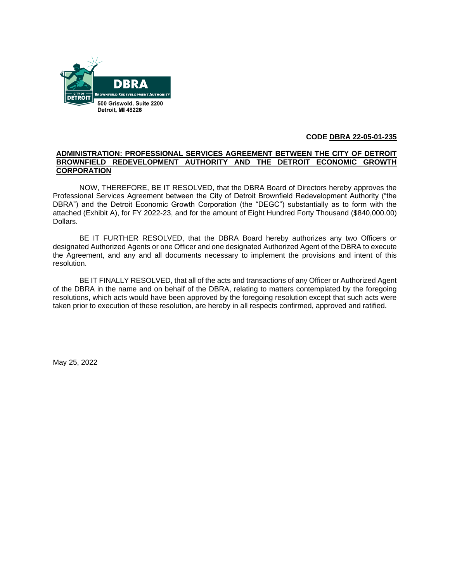

#### **ADMINISTRATION: PROFESSIONAL SERVICES AGREEMENT BETWEEN THE CITY OF DETROIT BROWNFIELD REDEVELOPMENT AUTHORITY AND THE DETROIT ECONOMIC GROWTH CORPORATION**

NOW, THEREFORE, BE IT RESOLVED, that the DBRA Board of Directors hereby approves the Professional Services Agreement between the City of Detroit Brownfield Redevelopment Authority ("the DBRA") and the Detroit Economic Growth Corporation (the "DEGC") substantially as to form with the attached (Exhibit A), for FY 2022-23, and for the amount of Eight Hundred Forty Thousand (\$840,000.00) Dollars.

BE IT FURTHER RESOLVED, that the DBRA Board hereby authorizes any two Officers or designated Authorized Agents or one Officer and one designated Authorized Agent of the DBRA to execute the Agreement, and any and all documents necessary to implement the provisions and intent of this resolution.

BE IT FINALLY RESOLVED, that all of the acts and transactions of any Officer or Authorized Agent of the DBRA in the name and on behalf of the DBRA, relating to matters contemplated by the foregoing resolutions, which acts would have been approved by the foregoing resolution except that such acts were taken prior to execution of these resolution, are hereby in all respects confirmed, approved and ratified.